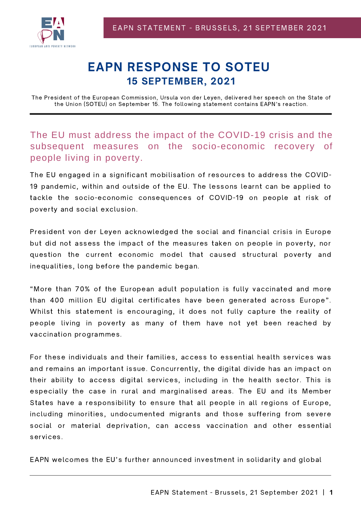

## EAPN RESPONSE TO SOTEU 15 SEPTEMBER, 2021

The President of the European Commission, Ursula von der Leyen, delivered her speech on the State of the Union (SOTEU) on September 15. The following statement contains EAPN's reaction.

The EU must address the impact of the COVID-19 crisis and the subsequent measures on the socio-economic recovery of people living in poverty.

The EU engaged in a significant mobilisation of resources to address the COVID-19 pandemic, within and outside of the EU. The lessons learnt can be applied to tackle the socio-economic consequences of COVID-19 on people at risk of poverty and social exclusion.

President von der Leyen acknowledged the social and financial crisis in Europe but did not assess the impact of the measures taken on people in poverty, nor question the current economic model that caused structural poverty and inequalities, long before the pandemic began.

"More than 70% of the European adult population is fully vaccinated and more than 400 million EU digital certificates have been generated across Europe". Whilst this statement is encouraging, it does not fully capture the reality of people living in poverty as many of them have not yet been reached by vaccination programmes.

For these individuals and their families, access to essential health services was and remains an important issue. Concurrently, the digital divide has an impact on their ability to access digital services, including in the health sector. This is especially the case in rural and marginalised areas. The EU and its Member States have a responsibility to ensure that all people in all regions of Europe, including minorities, undocumented migrants and those suffering from severe social or material deprivation, can access vaccination and other essential services.

EAPN welcomes the EU's further announced investment in solidarity and global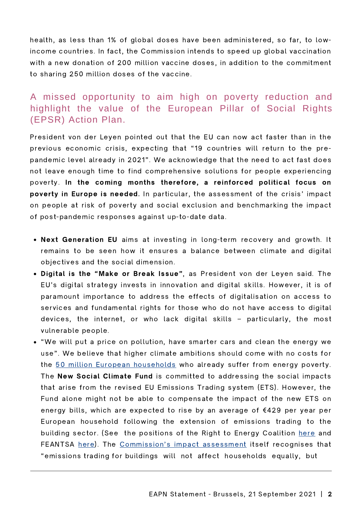health, as less than 1% of global doses have been administered, so far, to lowincome countries. In fact, the Commission intends to speed up global vaccination with a new donation of 200 million vaccine doses, in addition to the commitment to sharing 250 million doses of the vaccine.

## A missed opportunity to aim high on poverty reduction and highlight the value of the European Pillar of Social Rights (EPSR) Action Plan.

President von der Leyen pointed out that the EU can now act faster than in the previous economic crisis, expecting that "19 countries will return to the prepandemic level already in 2021". We acknowledge that the need to act fast does not leave enough time to find comprehensive solutions for people experiencing poverty. In the coming months therefore, a reinforced political focus on poverty in Europe is needed. In particular, the assessment of the crisis' impact on people at risk of poverty and social exclusion and benchmarking the impact of post-pandemic responses against up-to-date data.

- Next Generation EU aims at investing in long-term recovery and growth. It remains to be seen how it ensures a balance between climate and digital objectives and the social dimension.
- Digital is the "Make or Break Issue", as President von der Leyen said. The EU's digital strategy invests in innovation and digital skills. However, it is of paramount importance to address the effects of digitalisation on access to services and fundamental rights for those who do not have access to digital devices, the internet, or who lack digital skills – particularly, the most vulnerable people.
- "We will put a price on pollution, have smarter cars and clean the energy we use". We believe that higher climate ambitions should come with no costs for the 50 million European [households](https://www.energypoverty.eu/about/what-energy-poverty) who already suffer from energy poverty. The New Social Climate Fund is committed to addressing the social impacts that arise from the revised EU Emissions Trading system (ETS). However, the Fund alone might not be able to compensate the impact of the new ETS on energy bills, which are expected to rise by an average of €429 per year per European household following the extension of emissions trading to the building sector. (See the positions of the Right to Energy Coalition [here](https://righttoenergy.org/2021/07/14/fit-for-55-not-fit-for-europes-energy-poor/) and FEANTSA [here](https://www.feantsaresearch.org/en/press-release/2021/07/16/fit-for-55-package-a-unique-opportunity-to-achieve-climate-goals-while-tackling-energy-poverty-and-unfit-housing)). The [Commission's](https://ec.europa.eu/info/sites/default/files/social-climate-fund_with-annex_en.pdf) impact assessment itself recognises that "emissions trading for buildings will not affect households equally, but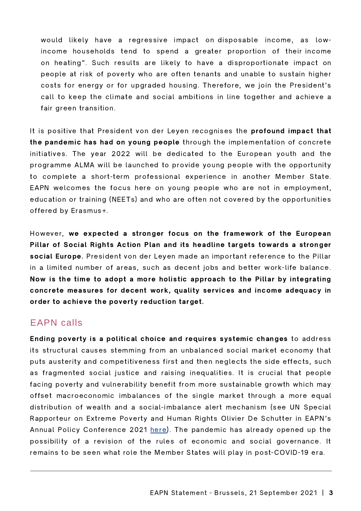would likely have a regressive impact on disposable income, as lowincome households tend to spend a greater proportion of their income on heating". Such results are likely to have a disproportionate impact on people at risk of poverty who are often tenants and unable to sustain higher costs for energy or for upgraded housing. Therefore, we join the President's call to keep the climate and social ambitions in line together and achieve a fair green transition.

It is positive that President von der Leyen recognises the profound impact that the pandemic has had on young people through the implementation of concrete initiatives. The year 2022 will be dedicated to the European youth and the programme ALMA will be launched to provide young people with the opportunity to complete a short-term professional experience in another Member State. EAPN welcomes the focus here on young people who are not in employment, education or training (NEETs) and who are often not covered by the opportunities offered by Erasmus+.

However, we expected a stronger focus on the framework of the European Pillar of Social Rights Action Plan and its headline targets towards a stronger social Europe. President von der Leyen made an important reference to the Pillar in a limited number of areas, such as decent jobs and better work-life balance. Now is the time to adopt a more holistic approach to the Pillar by integrating concrete measures for decent work, quality services and income adequacy in order to achieve the poverty reduction target.

## EAPN calls

Ending poverty is a political choice and requires systemic changes to address its structural causes stemming from an unbalanced social market economy that puts austerity and competitiveness first and then neglects the side effects, such as fragmented social justice and raising inequalities. It is crucial that people facing poverty and vulnerability benefit from more sustainable growth which may offset macroeconomic imbalances of the single market through a more equal distribution of wealth and a social-imbalance alert mechanism (see UN Special Rapporteur on Extreme Poverty and Human Rights Olivier De Schutter in EAPN's Annual Policy Conference 2021 [here\)](https://www.eapn.eu/eapn-annual-policy-conference-2021-building-back-better-without-poverty/). The pandemic has already opened up the possibility of a revision of the rules of economic and social governance. It remains to be seen what role the Member States will play in post-COVID-19 era.